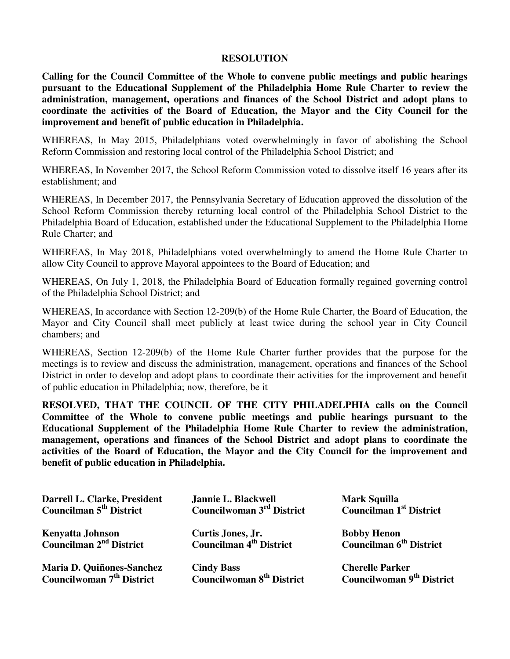## **RESOLUTION**

**Calling for the Council Committee of the Whole to convene public meetings and public hearings pursuant to the Educational Supplement of the Philadelphia Home Rule Charter to review the administration, management, operations and finances of the School District and adopt plans to coordinate the activities of the Board of Education, the Mayor and the City Council for the improvement and benefit of public education in Philadelphia.** 

WHEREAS, In May 2015, Philadelphians voted overwhelmingly in favor of abolishing the School Reform Commission and restoring local control of the Philadelphia School District; and

WHEREAS, In November 2017, the School Reform Commission voted to dissolve itself 16 years after its establishment; and

WHEREAS, In December 2017, the Pennsylvania Secretary of Education approved the dissolution of the School Reform Commission thereby returning local control of the Philadelphia School District to the Philadelphia Board of Education, established under the Educational Supplement to the Philadelphia Home Rule Charter; and

WHEREAS, In May 2018, Philadelphians voted overwhelmingly to amend the Home Rule Charter to allow City Council to approve Mayoral appointees to the Board of Education; and

WHEREAS, On July 1, 2018, the Philadelphia Board of Education formally regained governing control of the Philadelphia School District; and

WHEREAS, In accordance with Section 12-209(b) of the Home Rule Charter, the Board of Education, the Mayor and City Council shall meet publicly at least twice during the school year in City Council chambers; and

WHEREAS, Section 12-209(b) of the Home Rule Charter further provides that the purpose for the meetings is to review and discuss the administration, management, operations and finances of the School District in order to develop and adopt plans to coordinate their activities for the improvement and benefit of public education in Philadelphia; now, therefore, be it

**RESOLVED, THAT THE COUNCIL OF THE CITY PHILADELPHIA calls on the Council Committee of the Whole to convene public meetings and public hearings pursuant to the Educational Supplement of the Philadelphia Home Rule Charter to review the administration, management, operations and finances of the School District and adopt plans to coordinate the activities of the Board of Education, the Mayor and the City Council for the improvement and benefit of public education in Philadelphia.** 

| Darrell L. Clarke, President                            | Jannie L. Blackwell                                             | <b>Mark Squilla</b>                                       |
|---------------------------------------------------------|-----------------------------------------------------------------|-----------------------------------------------------------|
| <b>Councilman 5<sup>th</sup> District</b>               | Councilwoman 3 <sup>rd</sup> District                           | <b>Councilman 1st District</b>                            |
| Kenyatta Johnson<br>Councilman 2 <sup>nd</sup> District | <b>Curtis Jones, Jr.<br/>Councilman 4<sup>th</sup> District</b> | <b>Bobby Henon</b><br>Councilman 6 <sup>th</sup> District |
| Maria D. Quiñones-Sanchez                               | <b>Cindy Bass</b>                                               | <b>Cherelle Parker</b>                                    |
| Councilwoman 7 <sup>th</sup> District                   | <b>Councilwoman 8th District</b>                                | Councilwoman 9 <sup>th</sup> District                     |